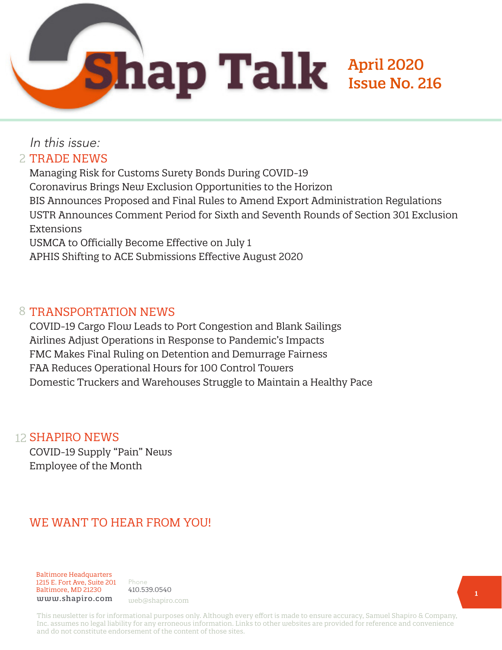

# In this issue: 2 TRADE NEWS

Managing Risk for Customs Surety Bonds During COVID-19 Coronavirus Brings New Exclusion Opportunities to the Horizon BIS Announces Proposed and Final Rules to Amend Export Administration Regulations USTR Announces Comment Period for Sixth and Seventh Rounds of Section 301 Exclusion Extensions USMCA to Officially Become Effective on July 1 APHIS Shifting to ACE Submissions Effective August 2020

#### 8 TRANSPORTATION NEWS

COVID-19 Cargo Flow Leads to Port Congestion and Blank Sailings Airlines Adjust Operations in Response to Pandemic's Impacts FMC Makes Final Ruling on Detention and Demurrage Fairness FAA Reduces Operational Hours for 100 Control Towers Domestic Truckers and Warehouses Struggle to Maintain a Healthy Pace

#### 12 **SHAPIRO NEWS**

COVID-19 Supply "Pain" News Employee of the Month

# WE WANT TO HEAR FROM YOU!

Baltimore Headquarters 1215 E. Fort Ave, Suite 201 Baltimore, MD 21230 www.shapiro.com web@shapiro.com

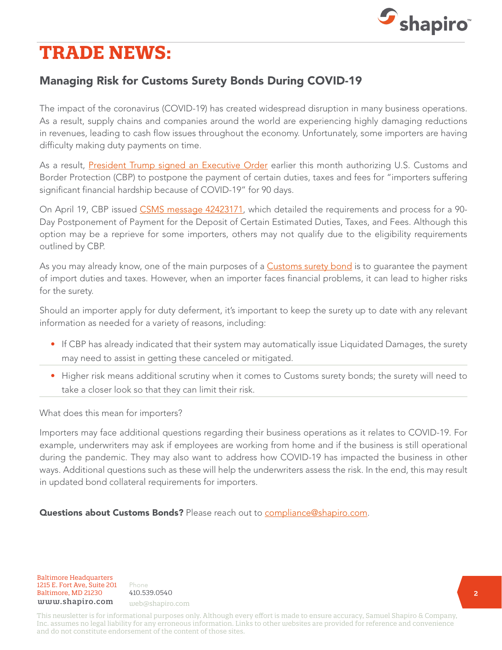

# **TRADE NEWS:**

# Managing Risk for Customs Surety Bonds During COVID-19

The impact of the coronavirus (COVID-19) has created widespread disruption in many business operations. As a result, supply chains and companies around the world are experiencing highly damaging reductions in revenues, leading to cash flow issues throughout the economy. Unfortunately, some importers are having difficulty making duty payments on time.

As a result, [President Trump signed an Executive Order](https://www.shapiro.com/alerts/president-trump-authorizes-90-day-deferrals-of-certain-cbp-duty-payments/) earlier this month authorizing U.S. Customs and Border Protection (CBP) to postpone the payment of certain duties, taxes and fees for "importers suffering significant financial hardship because of COVID-19" for 90 days.

On April 19, CBP issued [CSMS message 42423171,](https://content.govdelivery.com/bulletins/gd/USDHSCBP-2875383?wgt_ref=USDHSCBP_WIDGET_2?utm_source=lnks.gd&utm_medium=lnks.gd&utm_term=undefined&utm_content=undefined&utm_campaign=(not%20set)&gclid=undefined&dclid=undefined&GAID=2018141525.1559072618) which detailed the requirements and process for a 90- Day Postponement of Payment for the Deposit of Certain Estimated Duties, Taxes, and Fees. Although this option may be a reprieve for some importers, others may not qualify due to the eligibility requirements outlined by CBP.

As you may already know, one of the main purposes of a [Customs surety bond](https://www.shapiro.com/services/customs-bonds/) is to quarantee the payment of import duties and taxes. However, when an importer faces financial problems, it can lead to higher risks for the surety.

Should an importer apply for duty deferment, it's important to keep the surety up to date with any relevant information as needed for a variety of reasons, including:

- If CBP has already indicated that their system may automatically issue Liquidated Damages, the surety may need to assist in getting these canceled or mitigated.
- Higher risk means additional scrutiny when it comes to Customs surety bonds; the surety will need to take a closer look so that they can limit their risk.

What does this mean for importers?

Importers may face additional questions regarding their business operations as it relates to COVID-19. For example, underwriters may ask if employees are working from home and if the business is still operational during the pandemic. They may also want to address how COVID-19 has impacted the business in other ways. Additional questions such as these will help the underwriters assess the risk. In the end, this may result in updated bond collateral requirements for importers.

Questions about Customs Bonds? Please reach out to [compliance@shapiro.com](mailto:compliance%40shapiro.com?subject=).

Baltimore Headquarters 1215 E. Fort Ave, Suite 201 Baltimore, MD 21230 410.539.0540 www.shapiro.com web@shapiro.com

Phone the set of the set of the set of the set of the set of the set of the set of the set of the set of the s 410.539.0540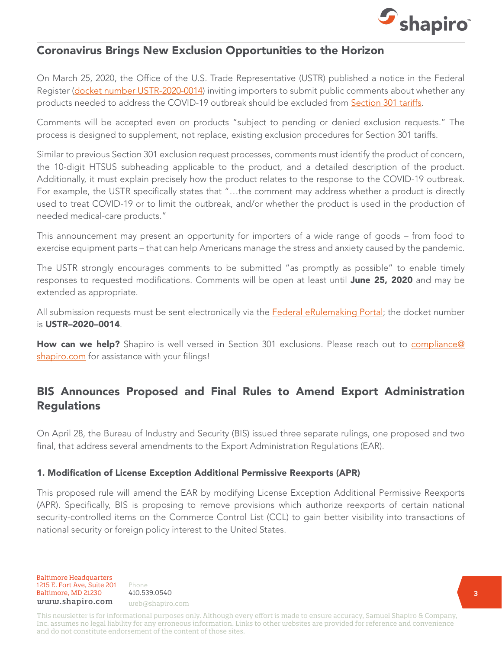

#### Coronavirus Brings New Exclusion Opportunities to the Horizon

On March 25, 2020, the Office of the U.S. Trade Representative (USTR) published a notice in the Federal Register ([docket number USTR-2020-0014](https://www.federalregister.gov/documents/2020/03/25/2020-06285/request-for-comments-on-additional-modifications-to-the-301-action-to-address-covid-19-chinas-acts)) inviting importers to submit public comments about whether any products needed to address the COVID-19 outbreak should be excluded from [Section 301 tariffs](https://www.shapiro.com/tariffs/tariff-news/).

Comments will be accepted even on products "subject to pending or denied exclusion requests." The process is designed to supplement, not replace, existing exclusion procedures for Section 301 tariffs.

Similar to previous Section 301 exclusion request processes, comments must identify the product of concern, the 10-digit HTSUS subheading applicable to the product, and a detailed description of the product. Additionally, it must explain precisely how the product relates to the response to the COVID-19 outbreak. For example, the USTR specifically states that "…the comment may address whether a product is directly used to treat COVID-19 or to limit the outbreak, and/or whether the product is used in the production of needed medical-care products."

This announcement may present an opportunity for importers of a wide range of goods – from food to exercise equipment parts – that can help Americans manage the stress and anxiety caused by the pandemic.

The USTR strongly encourages comments to be submitted "as promptly as possible" to enable timely responses to requested modifications. Comments will be open at least until June 25, 2020 and may be extended as appropriate.

All submission requests must be sent electronically via the [Federal eRulemaking Portal](http://www.regulations.gov/); the docket number is USTR–2020–0014.

How can we help? Shapiro is well versed in Section 301 exclusions. Please reach out to [compliance@](mailto:compliance%40shapiro.com?subject=) [shapiro.com](mailto:compliance%40shapiro.com?subject=) for assistance with your filings!

#### BIS Announces Proposed and Final Rules to Amend Export Administration Regulations

On April 28, the Bureau of Industry and Security (BIS) issued three separate rulings, one proposed and two final, that address several amendments to the Export Administration Regulations (EAR).

#### 1. Modification of License Exception Additional Permissive Reexports (APR)

This proposed rule will amend the EAR by modifying License Exception Additional Permissive Reexports (APR). Specifically, BIS is proposing to remove provisions which authorize reexports of certain national security-controlled items on the Commerce Control List (CCL) to gain better visibility into transactions of national security or foreign policy interest to the United States.

Phone the set of the set of the set of the set of the set of the set of the set of the set of the set of the s 410.539.0540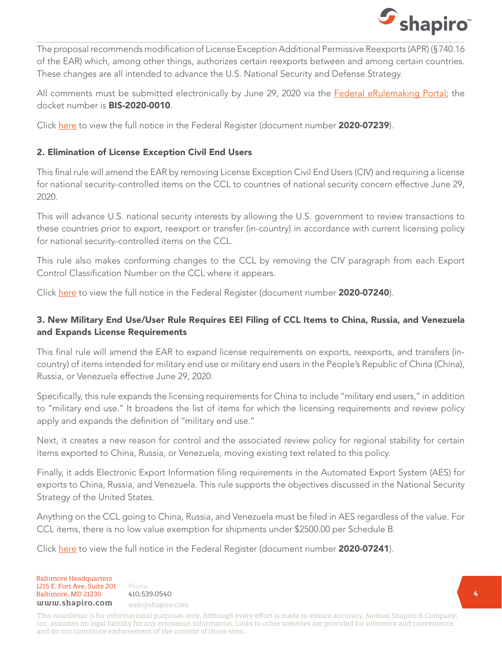

The proposal recommends modification of License Exception Additional Permissive Reexports (APR) (§740.16 of the EAR) which, among other things, authorizes certain reexports between and among certain countries. These changes are all intended to advance the U.S. National Security and Defense Strategy.

All comments must be submitted electronically by June 29, 2020 via the **[Federal eRulemaking Portal](http://www.regulations.gov/)**; the docket number is BIS-2020-0010.

Click <u>here</u> to view the full notice in the Federal Register (document number **2020-07239**).

#### 2. Elimination of License Exception Civil End Users

This final rule will amend the EAR by removing License Exception Civil End Users (CIV) and requiring a license for national security-controlled items on the CCL to countries of national security concern effective June 29, 2020.

This will advance U.S. national security interests by allowing the U.S. government to review transactions to these countries prior to export, reexport or transfer (in-country) in accordance with current licensing policy for national security-controlled items on the CCL.

This rule also makes conforming changes to the CCL by removing the CIV paragraph from each Export Control Classification Number on the CCL where it appears.

Click [here](https://www.federalregister.gov/documents/2020/04/28/2020-07240/elimination-of-license-exception-civil-end-users-civ) to view the full notice in the Federal Register (document number 2020-07240).

#### 3. New Military End Use/User Rule Requires EEI Filing of CCL Items to China, Russia, and Venezuela and Expands License Requirements

This final rule will amend the EAR to expand license requirements on exports, reexports, and transfers (incountry) of items intended for military end use or military end users in the People's Republic of China (China), Russia, or Venezuela effective June 29, 2020.

Specifically, this rule expands the licensing requirements for China to include ''military end users,'' in addition to ''military end use.'' It broadens the list of items for which the licensing requirements and review policy apply and expands the definition of ''military end use.''

Next, it creates a new reason for control and the associated review policy for regional stability for certain items exported to China, Russia, or Venezuela, moving existing text related to this policy.

Finally, it adds Electronic Export Information filing requirements in the Automated Export System (AES) for exports to China, Russia, and Venezuela. This rule supports the objectives discussed in the National Security Strategy of the United States.

Anything on the CCL going to China, Russia, and Venezuela must be filed in AES regardless of the value. For CCL items, there is no low value exemption for shipments under \$2500.00 per Schedule B.

Click [here](https://www.federalregister.gov/documents/2020/04/28/2020-07241/expansion-of-export-reexport-and-transfer-in-country-controls-for-military-end-use-or-military-end) to view the full notice in the Federal Register (document number 2020-07241).

Baltimore Headquarters Baltimore Headquarters<br>
1215 E. Fort Ave, Suite 201 Phone<br>
Baltimore, MD 21230 410.539.0540<br>  $\frac{1}{2}$ Baltimore, MD 21230 410.539.0540 1215 E. Fort Ave, Suite 201 www.shapiro.com web@shapiro.com

Phone **1998** 410.539.0540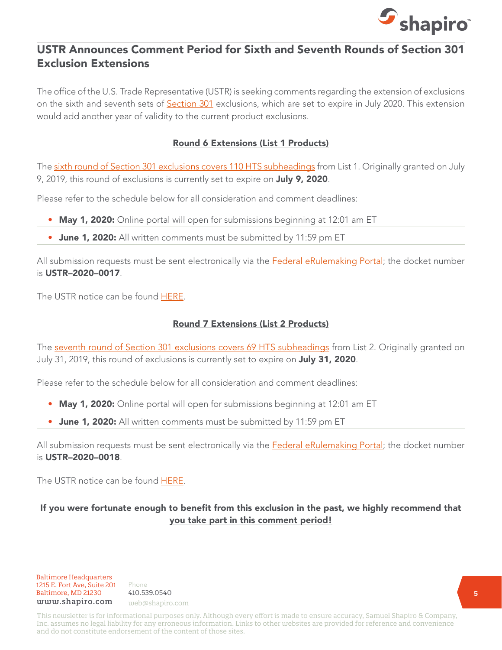

#### USTR Announces Comment Period for Sixth and Seventh Rounds of Section 301 Exclusion Extensions

The office of the U.S. Trade Representative (USTR) is seeking comments regarding the extension of exclusions on the sixth and seventh sets of **[Section 301](https://www.shapiro.com/tariffs/tariff-news/)** exclusions, which are set to expire in July 2020. This extension would add another year of validity to the current product exclusions.

#### Round 6 Extensions (List 1 Products)

The [sixth round of Section 301 exclusions covers 110 HTS subheadings](https://www.shapiro.com/alerts/ustr-sixth-round-section-301-list-1-exclusions/) from List 1. Originally granted on July 9, 2019, this round of exclusions is currently set to expire on July 9, 2020.

Please refer to the schedule below for all consideration and comment deadlines:

- May 1, 2020: Online portal will open for submissions beginning at 12:01 am ET
- June 1, 2020: All written comments must be submitted by 11:59 pm ET

All submission requests must be sent electronically via the [Federal eRulemaking Portal](http://www.regulations.gov/); the docket number is USTR–2020–0017.

The USTR notice can be found [HERE.](https://ustr.gov/sites/default/files/enforcement/301Investigations/Request_for_Comments_Concerning_the_Extension_of_Particular_Exclusions_April.pdf)

#### Round 7 Extensions (List 2 Products)

The [seventh round of Section 301 exclusions covers 69 HTS subheadings](https://www.shapiro.com/alerts/ustr-releases-first-round-of-product-exclusions-for-section-301-list-two-tariffs/) from List 2. Originally granted on July 31, 2019, this round of exclusions is currently set to expire on **July 31, 2020**.

Please refer to the schedule below for all consideration and comment deadlines:

- May 1, 2020: Online portal will open for submissions beginning at 12:01 am ET
- June 1, 2020: All written comments must be submitted by 11:59 pm ET

All submission requests must be sent electronically via the **[Federal eRulemaking Portal](http://www.regulations.gov/)**; the docket number is USTR–2020–0018.

The USTR notice can be found [HERE.](https://ustr.gov/sites/default/files/enforcement/301Investigations/Request_for_Comments_Concerning_the_Extension_of_Particular_Exclusions_April_2020.pdf)

#### If you were fortunate enough to benefit from this exclusion in the past, we highly recommend that you take part in this comment period!

**Baltimore Headquarters**<br>**1215 E. Fort Ave, Suite 201** Phone 1215 E. Fort Ave, Suite 201 Baltimore, MD 21230 410.539.0540 baltimore, MD 21230 410.559.0540<br>www.shapiro.com <sub>web@shapiro.com</sub>

Phone 410.539.0540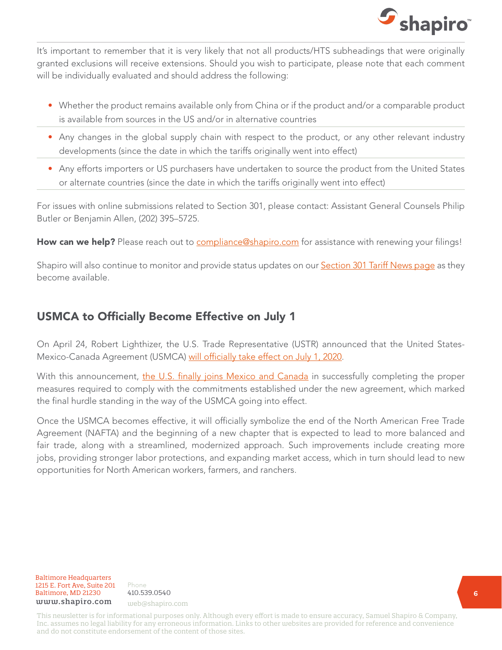

It's important to remember that it is very likely that not all products/HTS subheadings that were originally granted exclusions will receive extensions. Should you wish to participate, please note that each comment will be individually evaluated and should address the following:

- Whether the product remains available only from China or if the product and/or a comparable product is available from sources in the US and/or in alternative countries
- Any changes in the global supply chain with respect to the product, or any other relevant industry developments (since the date in which the tariffs originally went into effect)
- Any efforts importers or US purchasers have undertaken to source the product from the United States or alternate countries (since the date in which the tariffs originally went into effect)

For issues with online submissions related to Section 301, please contact: Assistant General Counsels Philip Butler or Benjamin Allen, (202) 395–5725.

How can we help? Please reach out to [compliance@shapiro.com](mailto:compliance%40shapiro.com?subject=) for assistance with renewing your filings!

Shapiro will also continue to monitor and provide status updates on our **Section 301 Tariff News page** as they become available.

## USMCA to Officially Become Effective on July 1

On April 24, Robert Lighthizer, the U.S. Trade Representative (USTR) announced that the United StatesMexico-Canada Agreement (USMCA) [will officially take effect on July 1, 2020.](https://ustr.gov/about-us/policy-offices/press-office/press-releases/2020/april/usmca-enter-force-july-1-after-united-states-takes-final-procedural-steps-implementation)

With this announcement, [the U.S. finally joins Mexico and Canada](https://www.shapiro.com/alerts/usmca-vote-set-to-occur-this-week/) in successfully completing the proper measures required to comply with the commitments established under the new agreement, which marked the final hurdle standing in the way of the USMCA going into effect.

Once the USMCA becomes effective, it will officially symbolize the end of the North American Free Trade Agreement (NAFTA) and the beginning of a new chapter that is expected to lead to more balanced and fair trade, along with a streamlined, modernized approach. Such improvements include creating more jobs, providing stronger labor protections, and expanding market access, which in turn should lead to new opportunities for North American workers, farmers, and ranchers.

Baltimore Headquarters 1215 E. Fort Ave, Suite 201  $Baltimore, MD 21230 410.539.0540$ <br>
uuuu shaniro.com www.shapiro.com web@shapiro.com

Phone the set of the set of the set of the set of the set of the set of the set of the set of the set of the s 410.539.0540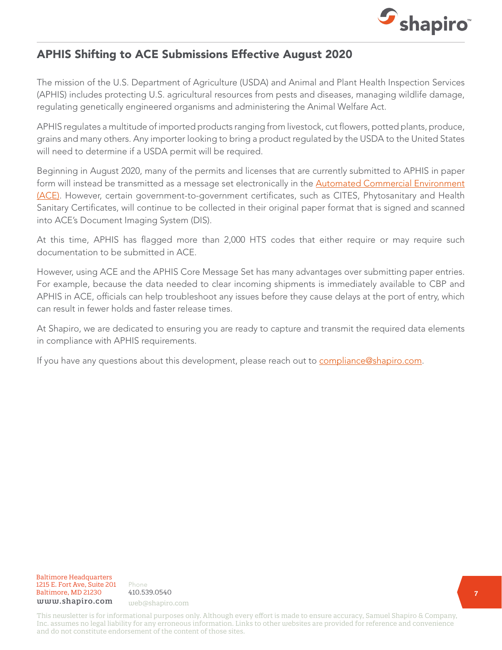

### APHIS Shifting to ACE Submissions Effective August 2020

The mission of the U.S. Department of Agriculture (USDA) and Animal and Plant Health Inspection Services (APHIS) includes protecting U.S. agricultural resources from pests and diseases, managing wildlife damage, regulating genetically engineered organisms and administering the Animal Welfare Act.

APHIS regulates a multitude of imported products ranging from livestock, cut flowers, potted plants, produce, grains and many others. Any importer looking to bring a product regulated by the USDA to the United States will need to determine if a USDA permit will be required.

Beginning in August 2020, many of the permits and licenses that are currently submitted to APHIS in paper form will instead be transmitted as a message set electronically in the **Automated Commercial Environment** [\(ACE\).](https://www.aphis.usda.gov/aphis/ourfocus/importexport/ACE/) However, certain government-to-government certificates, such as CITES, Phytosanitary and Health Sanitary Certificates, will continue to be collected in their original paper format that is signed and scanned into ACE's Document Imaging System (DIS).

At this time, APHIS has flagged more than 2,000 HTS codes that either require or may require such documentation to be submitted in ACE.

However, using ACE and the APHIS Core Message Set has many advantages over submitting paper entries. For example, because the data needed to clear incoming shipments is immediately available to CBP and APHIS in ACE, officials can help troubleshoot any issues before they cause delays at the port of entry, which can result in fewer holds and faster release times.

At Shapiro, we are dedicated to ensuring you are ready to capture and transmit the required data elements in compliance with APHIS requirements.

If you have any questions about this development, please reach out to [compliance@shapiro.com.](mailto:compliance%40shapiro.com?subject=)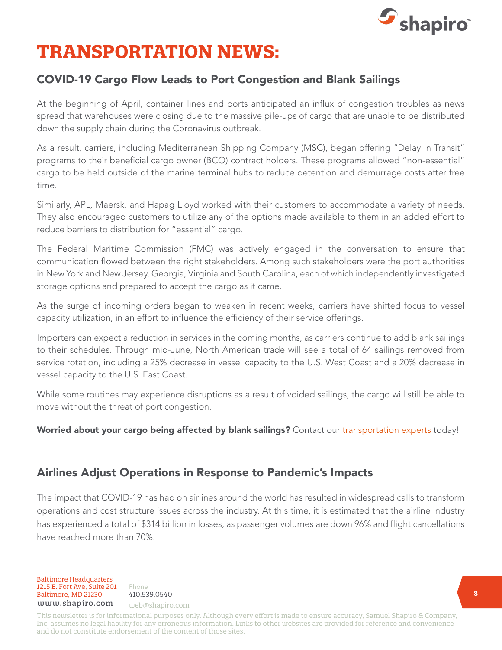

# **TRANSPORTATION NEWS:**

# COVID-19 Cargo Flow Leads to Port Congestion and Blank Sailings

At the beginning of April, container lines and ports anticipated an influx of congestion troubles as news spread that warehouses were closing due to the massive pile-ups of cargo that are unable to be distributed down the supply chain during the Coronavirus outbreak.

As a result, carriers, including Mediterranean Shipping Company (MSC), began offering "Delay In Transit" programs to their beneficial cargo owner (BCO) contract holders. These programs allowed "non-essential" cargo to be held outside of the marine terminal hubs to reduce detention and demurrage costs after free time.

Similarly, APL, Maersk, and Hapag Lloyd worked with their customers to accommodate a variety of needs. They also encouraged customers to utilize any of the options made available to them in an added effort to reduce barriers to distribution for "essential" cargo.

The Federal Maritime Commission (FMC) was actively engaged in the conversation to ensure that communication flowed between the right stakeholders. Among such stakeholders were the port authorities in New York and New Jersey, Georgia, Virginia and South Carolina, each of which independently investigated storage options and prepared to accept the cargo as it came.

As the surge of incoming orders began to weaken in recent weeks, carriers have shifted focus to vessel capacity utilization, in an effort to influence the efficiency of their service offerings.

Importers can expect a reduction in services in the coming months, as carriers continue to add blank sailings to their schedules. Through mid-June, North American trade will see a total of 64 sailings removed from service rotation, including a 25% decrease in vessel capacity to the U.S. West Coast and a 20% decrease in vessel capacity to the U.S. East Coast.

While some routines may experience disruptions as a result of voided sailings, the cargo will still be able to move without the threat of port congestion.

Worried about your cargo being affected by blank sailings? Contact our [transportation experts](mailto:web%40shapiro.com?subject=) today!

### Airlines Adjust Operations in Response to Pandemic's Impacts

The impact that COVID-19 has had on airlines around the world has resulted in widespread calls to transform operations and cost structure issues across the industry. At this time, it is estimated that the airline industry has experienced a total of \$314 billion in losses, as passenger volumes are down 96% and flight cancellations have reached more than 70%.

Baltimore Headquarters Baltimore, MD 21201 HHHHHHHHHHHH Baltimore Headquarters Baltimore, MD 21230 410.539.0540 1215 E. Fort Ave, Suite 201 www.shapiro.com web@shapiro.com

Phone 410.539.0540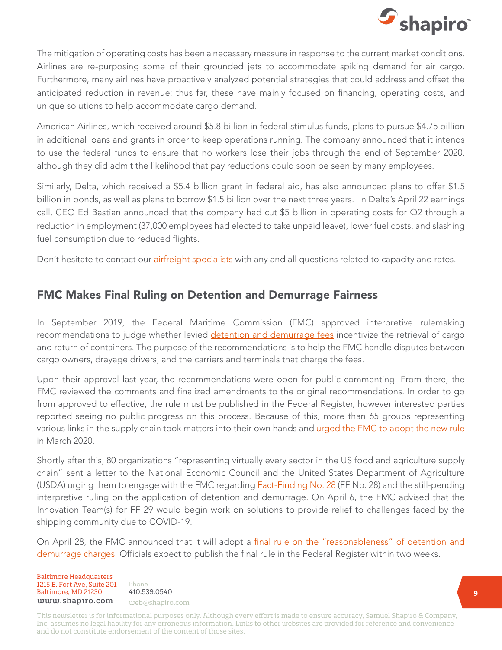

The mitigation of operating costs has been a necessary measure in response to the current market conditions. Airlines are re-purposing some of their grounded jets to accommodate spiking demand for air cargo. Furthermore, many airlines have proactively analyzed potential strategies that could address and offset the anticipated reduction in revenue; thus far, these have mainly focused on financing, operating costs, and unique solutions to help accommodate cargo demand.

American Airlines, which received around \$5.8 billion in federal stimulus funds, plans to pursue \$4.75 billion in additional loans and grants in order to keep operations running. The company announced that it intends to use the federal funds to ensure that no workers lose their jobs through the end of September 2020, although they did admit the likelihood that pay reductions could soon be seen by many employees.

Similarly, Delta, which received a \$5.4 billion grant in federal aid, has also announced plans to offer \$1.5 billion in bonds, as well as plans to borrow \$1.5 billion over the next three years. In Delta's April 22 earnings call, CEO Ed Bastian announced that the company had cut \$5 billion in operating costs for Q2 through a reduction in employment (37,000 employees had elected to take unpaid leave), lower fuel costs, and slashing fuel consumption due to reduced flights.

Don't hesitate to contact our [airfreight specialists](mailto:web%40shapiro.com?subject=) with any and all questions related to capacity and rates.

### FMC Makes Final Ruling on Detention and Demurrage Fairness

In September 2019, the Federal Maritime Commission (FMC) approved interpretive rulemaking recommendations to judge whether levied [detention and demurrage fees](https://www.shapiro.com/blog/demurrage-detention-per-diem-oh-my-6-tips-to-avoid-additional-charges/) incentivize the retrieval of cargo and return of containers. The purpose of the recommendations is to help the FMC handle disputes between cargo owners, drayage drivers, and the carriers and terminals that charge the fees.

Upon their approval last year, the recommendations were open for public commenting. From there, the FMC reviewed the comments and finalized amendments to the original recommendations. In order to go from approved to effective, the rule must be published in the Federal Register, however interested parties reported seeing no public progress on this process. Because of this, more than 65 groups representing various links in the supply chain took matters into their own hands and [urged the FMC to adopt the new rule](https://www.shapiro.com/newsletters/march-2020-issue-215/#st-4) in March 2020.

Shortly after this, 80 organizations "representing virtually every sector in the US food and agriculture supply chain" sent a letter to the National Economic Council and the United States Department of Agriculture (USDA) urging them to engage with the FMC regarding **Fact-Finding No. 28** (FF No. 28) and the still-pending interpretive ruling on the application of detention and demurrage. On April 6, the FMC advised that the Innovation Team(s) for FF 29 would begin work on solutions to provide relief to challenges faced by the shipping community due to COVID-19.

On April 28, the FMC announced that it will adopt a [final rule on the "reasonableness" of detention and](https://www2.fmc.gov/readingroom/docs/19-05/19-05_fin_rl.pdf/) [demurrage charges](https://www2.fmc.gov/readingroom/docs/19-05/19-05_fin_rl.pdf/). Officials expect to publish the final rule in the Federal Register within two weeks.

#### Baltimore Headquarters 1215 E. Fort Ave, Suite 201 www.shapiro.com web@shapiro.com Baltimore, MD 21230

Phone 410.539.0540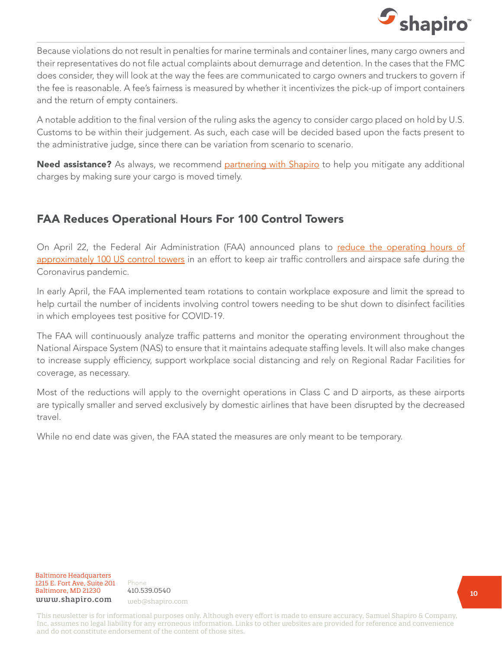

Because violations do not result in penalties for marine terminals and container lines, many cargo owners and their representatives do not file actual complaints about demurrage and detention. In the cases that the FMC does consider, they will look at the way the fees are communicated to cargo owners and truckers to govern if the fee is reasonable. A fee's fairness is measured by whether it incentivizes the pick-up of import containers and the return of empty containers.

A notable addition to the final version of the ruling asks the agency to consider cargo placed on hold by U.S. Customs to be within their judgement. As such, each case will be decided based upon the facts present to the administrative judge, since there can be variation from scenario to scenario.

Need assistance? As always, we recommend [partnering with Shapiro](mailto:web%40shapiro.com?subject=) to help you mitigate any additional charges by making sure your cargo is moved timely.

### FAA Reduces Operational Hours For 100 Control Towers

On April 22, the Federal Air Administration (FAA) announced plans to [reduce the operating hours of](https://www.faa.gov/news/updates/?newsId=94991) [approximately 100 US control towers](https://www.faa.gov/news/updates/?newsId=94991) in an effort to keep air traffic controllers and airspace safe during the Coronavirus pandemic.

In early April, the FAA implemented team rotations to contain workplace exposure and limit the spread to help curtail the number of incidents involving control towers needing to be shut down to disinfect facilities in which employees test positive for COVID-19.

The FAA will continuously analyze traffic patterns and monitor the operating environment throughout the National Airspace System (NAS) to ensure that it maintains adequate staffing levels. It will also make changes to increase supply efficiency, support workplace social distancing and rely on Regional Radar Facilities for coverage, as necessary.

Most of the reductions will apply to the overnight operations in Class C and D airports, as these airports are typically smaller and served exclusively by domestic airlines that have been disrupted by the decreased travel.

While no end date was given, the FAA stated the measures are only meant to be temporary.

Baltimore Headquarters Baltimore Headquarters 1215 E. Fort Ave, Suite 201 www.shapiro.com web@shapiro.com Baltimore, MD 21230

Phone<br>... <del>.</del>. . . 410.539.0540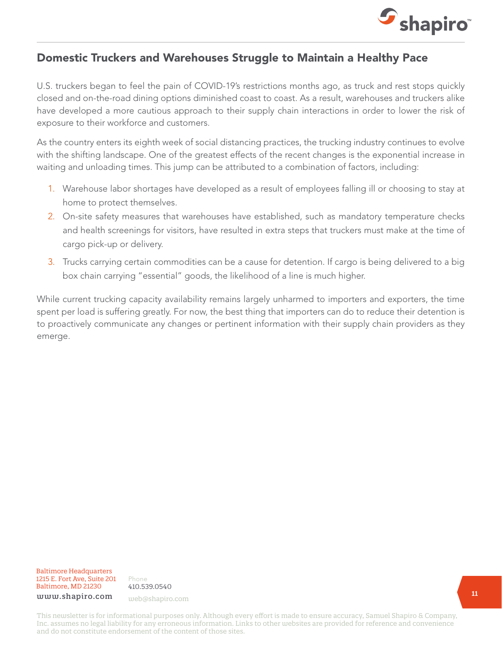

#### Domestic Truckers and Warehouses Struggle to Maintain a Healthy Pace

U.S. truckers began to feel the pain of COVID-19's restrictions months ago, as truck and rest stops quickly closed and on-the-road dining options diminished coast to coast. As a result, warehouses and truckers alike have developed a more cautious approach to their supply chain interactions in order to lower the risk of exposure to their workforce and customers.

As the country enters its eighth week of social distancing practices, the trucking industry continues to evolve with the shifting landscape. One of the greatest effects of the recent changes is the exponential increase in waiting and unloading times. This jump can be attributed to a combination of factors, including:

- 1. Warehouse labor shortages have developed as a result of employees falling ill or choosing to stay at home to protect themselves.
- 2. On-site safety measures that warehouses have established, such as mandatory temperature checks and health screenings for visitors, have resulted in extra steps that truckers must make at the time of cargo pick-up or delivery.
- 3. Trucks carrying certain commodities can be a cause for detention. If cargo is being delivered to a big box chain carrying "essential" goods, the likelihood of a line is much higher.

While current trucking capacity availability remains largely unharmed to importers and exporters, the time spent per load is suffering greatly. For now, the best thing that importers can do to reduce their detention is to proactively communicate any changes or pertinent information with their supply chain providers as they emerge.

#### Baltimore Headquarters Baltimore Headquarters 1215 E. Fort Ave, Suite 201 1215 E. Fort Ave, Suite 201 Baltimore, MD 21230  ${\tt www.shapiro.com}$  web@shapiro.com

Phone Phone 410.539.0540